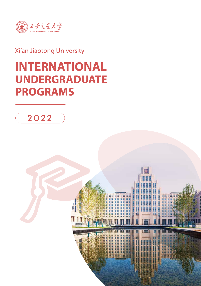

# Xi'an Jiaotong University

# **INTERNATIONAL UNDERGRADUATE PROGRAMS**



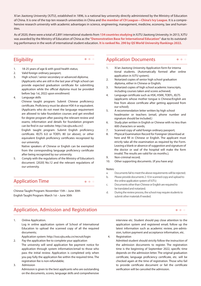Xi'an Jiaotong University (XJTU), established in 1896, is a national key university directly administered by the Ministry of Education of China. It is one of the top ten research universities in China and **the member of C9 League—China's Ivy League**. It is a comprehensive research university with academic advantages in science, engineering, management, medicine, economy, law and humanities.

As of 2020, there were a total of 2,891 international students from **134 countries studying** in XJTU Jiaotong University. In 2013, XJTU was awarded by the Ministry of Education of China as the **"Demonstration Base for International Education"** due to its outstanding performance in the work of international student education. **It is ranked No. 290 by QS World University Rankings 2022.**

 $\bullet$   $\bullet$   $\bullet$ 

### **Eligibility**

- 1. 18-25 years of age & with good health status;
- 2. Valid foreign ordinary passport;
- 3. High school / senior secondary or advanced diploma; (Applicants who are still in the last year of high school can provide expected graduation certificate for submitting application while the official diploma must be provided before Sep 1st, 2022 upon enrollment)
- 4. Language skills

Chinese taught program: Submit Chinese proficiency certificate. Proficiency must be above HSK 4 or equivalent. (Applicants who do not meet the language requirement are allowed to take foundation courses and get enrolled for degree program after passing the relevant review and exams; information and details for foundation program can be find in our website: http://sie.xjtu.edu.cn/)

English taught program: Submit English proficiency certificate. IELTS 6.0 or TOEFL 80 (or above), or other equivalent English proficiency certificates recognized by our university.

Native speakers of Chinese or English can be exempted from the corresponding language proficiency certificate after being recognized by our university.

5. Comply with the regulations of the Ministry of Education's document. [2020] No.12 and the relevant regulations of our university.

# **Application Time**

Chinese Taught Program: November 15th – June 30th English Taught Program: March 1st – June 30th

# **Application, Admission and Registration**

1. Online Application. Log in online application system of School of International

Education to upload the scanned copy of all the required documents;

Application system: http://isso.xjtu.edu.cn/recruit/login

- 2. Pay the application fee to complete your application The university will send application fee payment notice for application through system information/email to those who pass the initial review. Application is completed only when you pay fully the application fee within the required time. The registration fee is non-refundable;
- 3. Admission

Admission is given to the best applicants who are outstanding on the documents, scores, language skills and comprehensive

#### **Application Documents**

1. Xi'an Jiaotong University Application form for interna tional students. (Automatically formed after online application in XJTU system);

 $\bullet\bullet\bullet$ 

 $\bullet$   $\bullet$   $\bullet$ 

- 2. Notarized copies of senior high school graduation diploma, either in Chinese or English;
- 3. Notarized copies of high school academic transcripts, including courses taken and scores achieved;
- 4. Language certificate such as HSK, HSKK, TOEFL, IELTS (applicants whose mother tongue is Chinese/English are free from above certificate after getting approved from our school);
- 5. A recommendation letter written by high school headmaster or teachers (email, phone number and signature should be included.)
- 6. Study plan written in English or Chinese with no less than 600 characters or words;
- 7. Scanned copy of valid foreign ordinary passport;
- 8. Physical Examination Record for Foreigner (download at here and fill in Chinese or English. The applicant must strictly take all the examination as required by the Form. Leaving a blank or absence of suggestion and signature of the doctor or seal of the hospital will make the form invalid. The results are valid for six months.);
- 9. Non-criminal record;
- 10. Other supporting documents. (if you have any)

#### Notes:

 $\bullet\hspace{0.1cm} \bullet\hspace{0.1cm} \bullet\hspace{0.1cm} \bullet$ 

- a. Documents fail to meet the above requirements will be rejected;
- b. Please provide documents 2-10 in scanned copy and upload to the online application system of XJTU;
- c. Documents other than Chinese or English are required to be translated and notarized;
- d. During the review process, the school may require students to submit other materials if needed.

#### interview etc. Student should pay close attention to the application system and registered email; follow up the latest information such as academic review, pre-admission, tuition payment and acceptance information, etc.

4. Registration

Admitted student should strictly follow the instruction of the admission documents to register. The registration time is the beginning of September 2022, specific time depends on the admission letter. The original graduation certificate, language proficiency certificate, etc. will be checked again at the time of registration. Those who fail to provide certificate document or fail the certificate verification will be canceled the admission.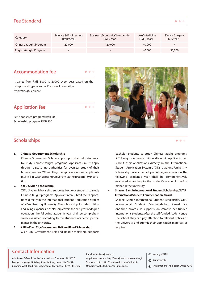## **Fee Standard**

| Category               | Science & Engineering<br>(RMB/Year) | Business\Economics\Humanities<br>(RMB/Year) | Arts\Medicine<br>(RMB/Year) | Dental Surgery<br>(RMB/Year) |
|------------------------|-------------------------------------|---------------------------------------------|-----------------------------|------------------------------|
| Chinese-taught Program | 22,000                              | 20,000                                      | 40,000                      |                              |
| English-taught Program |                                     |                                             | 40,000                      | 50,000                       |

#### **Accommodation fee**

 $\bullet$   $\bullet$   $\bullet$ 

 $\bullet$   $\bullet$   $\bullet$ 

It varies from RMB 8000 to 20000 every year based on the campus and type of room. For more information: http://sie.xjtu.edu.cn/

## **Application fee**

Self-sponsored program: RMB 500 Scholarship program: RMB 800

## **Scholarships**

#### **1. Chinese Government Scholarship**

Chinese Government Scholarship supports bachelor students to study Chinese-taught programs. Applicants must apply through dispatching authorities for overseas study of their home countries. When filling the application form, applicants must fill in "Xi'an Jiaotong University" as the first priority Institution.

#### **2. XJTU Siyuan Scholarship**

XJTU Siyuan Scholarship supports bachelor students to study Chinese-taught programs. Applicants can submit their applications directly in the International Student Application System of Xi'an Jiaotong University. The scholarship includes tuition and living expenses. Scholarship covers the first year of degree education; the following academic year shall be comprehensively evaluated according to the student's academic performance in the university.

#### **3. XJTU--Xi'an City Government Belt and Road Scholarship** Xi'an City Government Belt and Road Scholarship supports



**4. Shaanxi Sanqin International Student Scholarship, XJTU International Student Commendation Award**

Shaanxi Sanqin International Student Scholarship, XJTU International Student Commendation Award are one-time awards. It supports on campus self-funded international students. After the self-funded student entry the school, they can pay attention to relevant notices of the university and submit their application materials as required.

# **Contact Information**

Admission Office, School of International Education A922 Yi Fu Foreign Language Building Xi'an Jiaotong University, No. 28 Xianning West Road, Xian City Shaanxi Province, 710049, P.R. China Email: adm-sie@xjtu.edu.cn

Application system: http://isso.xjtu.edu.cn/recruit/login School website: http://sie.xjtu.edu.cn/en/index.htm University website: http://en.xjtu.edu.cn/

- @studyatXJTU
- @studyatxjtu
- @International Admission Office-XJTU



 $\bullet\bullet\bullet$ 

 $\bullet\hspace{0.1cm} \bullet\hspace{0.1cm}\bullet\hspace{0.1cm} \bullet$